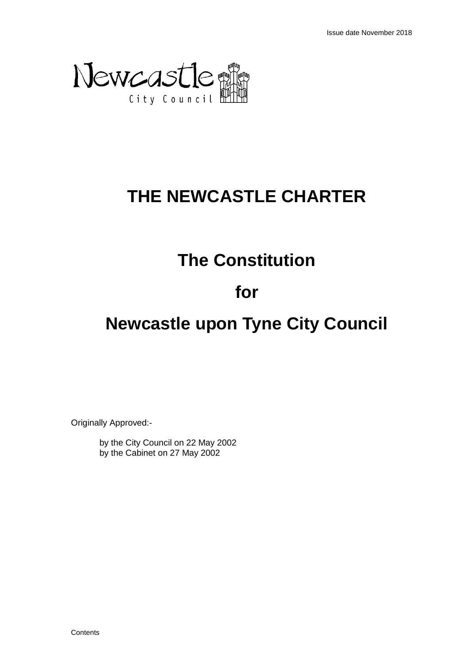

# **THE NEWCASTLE CHARTER**

### **The Constitution**

#### **for**

# **Newcastle upon Tyne City Council**

Originally Approved:-

by the City Council on 22 May 2002 by the Cabinet on 27 May 2002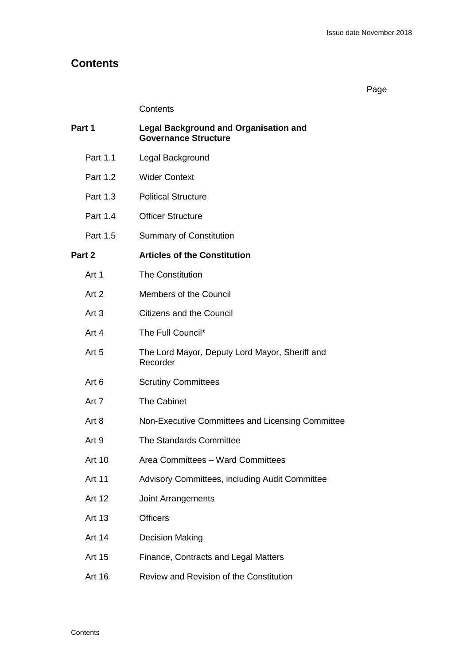#### **Contents**

Page

#### **Contents**

| Part 1           | <b>Legal Background and Organisation and</b><br><b>Governance Structure</b> |  |
|------------------|-----------------------------------------------------------------------------|--|
| Part 1.1         | Legal Background                                                            |  |
| Part 1.2         | <b>Wider Context</b>                                                        |  |
| Part 1.3         | <b>Political Structure</b>                                                  |  |
| Part 1.4         | <b>Officer Structure</b>                                                    |  |
| Part 1.5         | <b>Summary of Constitution</b>                                              |  |
| Part 2           | <b>Articles of the Constitution</b>                                         |  |
| Art 1            | <b>The Constitution</b>                                                     |  |
| Art 2            | Members of the Council                                                      |  |
| Art $3$          | <b>Citizens and the Council</b>                                             |  |
| Art 4            | The Full Council*                                                           |  |
| Art <sub>5</sub> | The Lord Mayor, Deputy Lord Mayor, Sheriff and<br>Recorder                  |  |
| Art <sub>6</sub> | <b>Scrutiny Committees</b>                                                  |  |
| Art 7            | <b>The Cabinet</b>                                                          |  |
| Art 8            | Non-Executive Committees and Licensing Committee                            |  |
| Art 9            | The Standards Committee                                                     |  |
| <b>Art 10</b>    | Area Committees - Ward Committees                                           |  |
| <b>Art 11</b>    | Advisory Committees, including Audit Committee                              |  |
| Art 12           | <b>Joint Arrangements</b>                                                   |  |
| Art 13           | <b>Officers</b>                                                             |  |
| <b>Art 14</b>    | <b>Decision Making</b>                                                      |  |
| Art 15           | Finance, Contracts and Legal Matters                                        |  |
| Art 16           | Review and Revision of the Constitution                                     |  |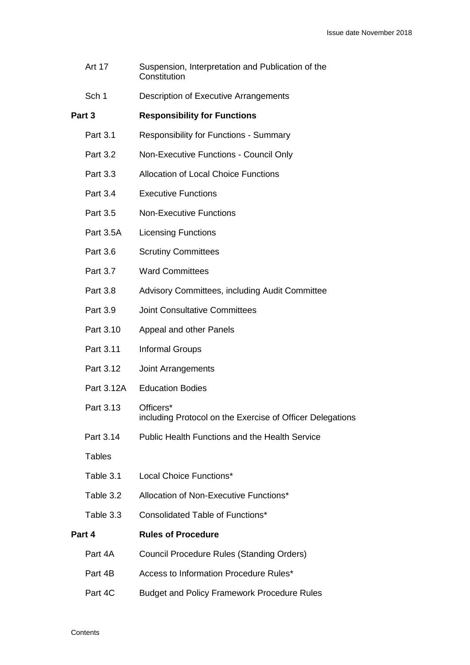|        | <b>Art 17</b>   | Suspension, Interpretation and Publication of the<br>Constitution      |
|--------|-----------------|------------------------------------------------------------------------|
|        | Sch 1           | Description of Executive Arrangements                                  |
| Part 3 |                 | <b>Responsibility for Functions</b>                                    |
|        | <b>Part 3.1</b> | <b>Responsibility for Functions - Summary</b>                          |
|        | Part 3.2        | Non-Executive Functions - Council Only                                 |
|        | Part 3.3        | <b>Allocation of Local Choice Functions</b>                            |
|        | Part 3.4        | <b>Executive Functions</b>                                             |
|        | Part 3.5        | <b>Non-Executive Functions</b>                                         |
|        | Part 3.5A       | <b>Licensing Functions</b>                                             |
|        | Part 3.6        | <b>Scrutiny Committees</b>                                             |
|        | Part 3.7        | <b>Ward Committees</b>                                                 |
|        | Part 3.8        | Advisory Committees, including Audit Committee                         |
|        | Part 3.9        | <b>Joint Consultative Committees</b>                                   |
|        | Part 3.10       | Appeal and other Panels                                                |
|        | Part 3.11       | <b>Informal Groups</b>                                                 |
|        | Part 3.12       | <b>Joint Arrangements</b>                                              |
|        | Part 3.12A      | <b>Education Bodies</b>                                                |
|        | Part 3.13       | Officers*<br>including Protocol on the Exercise of Officer Delegations |
|        | Part 3.14       | <b>Public Health Functions and the Health Service</b>                  |
|        | <b>Tables</b>   |                                                                        |
|        | Table 3.1       | Local Choice Functions*                                                |
|        | Table 3.2       | Allocation of Non-Executive Functions*                                 |
|        | Table 3.3       | Consolidated Table of Functions*                                       |
|        | Part 4          | <b>Rules of Procedure</b>                                              |
|        | Part 4A         | <b>Council Procedure Rules (Standing Orders)</b>                       |
|        | Part 4B         | Access to Information Procedure Rules*                                 |
|        | Part 4C         | <b>Budget and Policy Framework Procedure Rules</b>                     |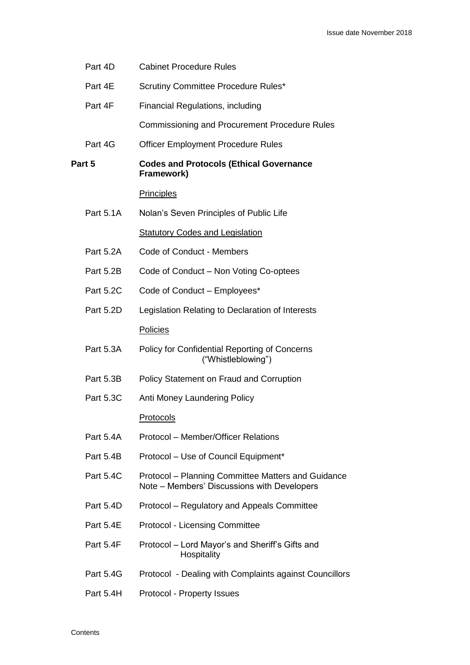|        | Part 4D          | <b>Cabinet Procedure Rules</b>                                                                    |
|--------|------------------|---------------------------------------------------------------------------------------------------|
|        | Part 4E          | Scrutiny Committee Procedure Rules*                                                               |
|        | Part 4F          | Financial Regulations, including                                                                  |
|        |                  | <b>Commissioning and Procurement Procedure Rules</b>                                              |
|        | Part 4G          | <b>Officer Employment Procedure Rules</b>                                                         |
| Part 5 |                  | <b>Codes and Protocols (Ethical Governance</b><br>Framework)                                      |
|        |                  | <b>Principles</b>                                                                                 |
|        | Part 5.1A        | Nolan's Seven Principles of Public Life                                                           |
|        |                  | <b>Statutory Codes and Legislation</b>                                                            |
|        | <b>Part 5.2A</b> | Code of Conduct - Members                                                                         |
|        | Part 5.2B        | Code of Conduct – Non Voting Co-optees                                                            |
|        | <b>Part 5.2C</b> | Code of Conduct - Employees*                                                                      |
|        | Part 5.2D        | Legislation Relating to Declaration of Interests                                                  |
|        |                  | Policies                                                                                          |
|        | Part 5.3A        | Policy for Confidential Reporting of Concerns<br>("Whistleblowing")                               |
|        | Part 5.3B        | <b>Policy Statement on Fraud and Corruption</b>                                                   |
|        | <b>Part 5.3C</b> | Anti Money Laundering Policy                                                                      |
|        |                  | <b>Protocols</b>                                                                                  |
|        | Part 5.4A        | Protocol - Member/Officer Relations                                                               |
|        | Part 5.4B        | Protocol - Use of Council Equipment*                                                              |
|        | <b>Part 5.4C</b> | Protocol – Planning Committee Matters and Guidance<br>Note - Members' Discussions with Developers |
|        | Part 5.4D        | Protocol – Regulatory and Appeals Committee                                                       |
|        | Part 5.4E        | Protocol - Licensing Committee                                                                    |
|        | Part 5.4F        | Protocol – Lord Mayor's and Sheriff's Gifts and<br>Hospitality                                    |
|        | <b>Part 5.4G</b> | Protocol - Dealing with Complaints against Councillors                                            |
|        | Part 5.4H        | Protocol - Property Issues                                                                        |